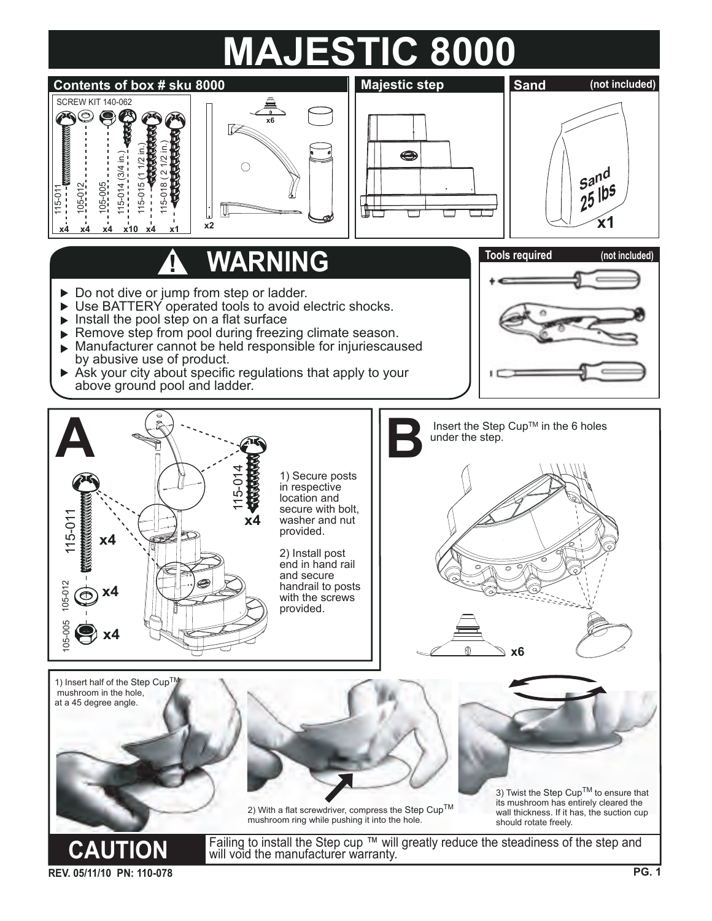## **MAJESTIC 8000**



**REV. 05/11/10 PN: 110-078**